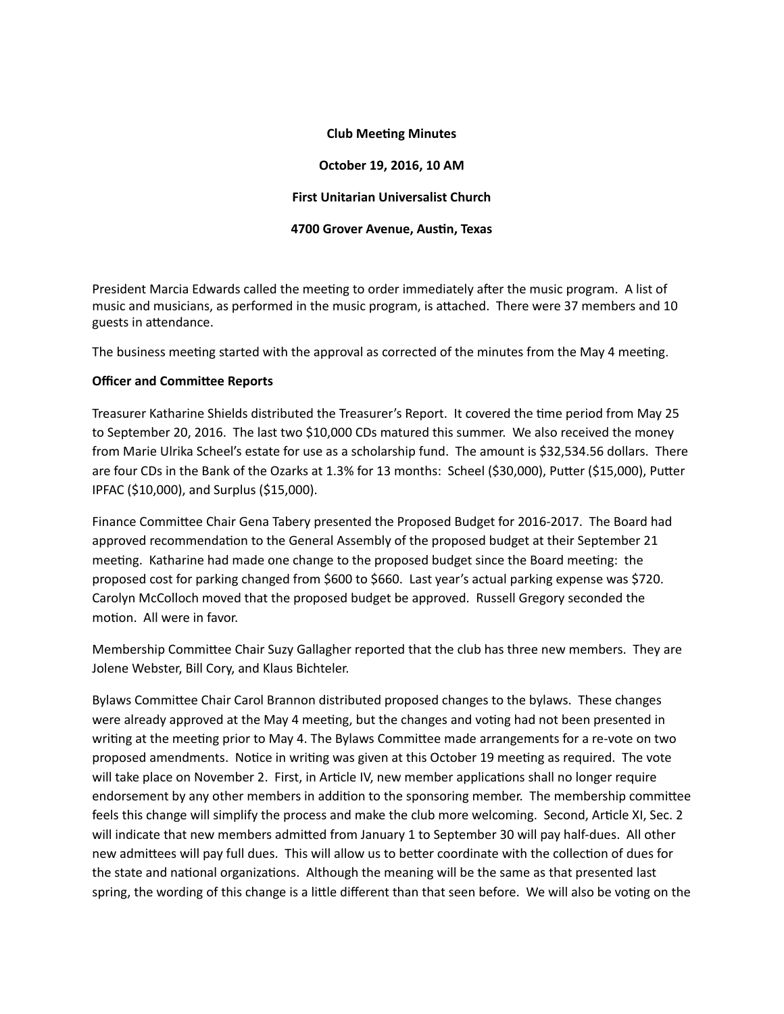## **Club Meeting Minutes**

**October 19, 2016, 10 AM First Unitarian Universalist Church** 

### **4700 Grover Avenue, Austin, Texas**

President Marcia Edwards called the meeting to order immediately after the music program. A list of music and musicians, as performed in the music program, is attached. There were 37 members and 10 guests in attendance.

The business meeting started with the approval as corrected of the minutes from the May 4 meeting.

# **Officer and Committee Reports**

Treasurer Katharine Shields distributed the Treasurer's Report. It covered the time period from May 25 to September 20, 2016. The last two \$10,000 CDs matured this summer. We also received the money from Marie Ulrika Scheel's estate for use as a scholarship fund. The amount is \$32,534.56 dollars. There are four CDs in the Bank of the Ozarks at 1.3% for 13 months: Scheel (\$30,000), Putter (\$15,000), Putter IPFAC (\$10,000), and Surplus (\$15,000).

Finance Committee Chair Gena Tabery presented the Proposed Budget for 2016-2017. The Board had approved recommendation to the General Assembly of the proposed budget at their September 21 meeting. Katharine had made one change to the proposed budget since the Board meeting: the proposed cost for parking changed from \$600 to \$660. Last year's actual parking expense was \$720. Carolyn McColloch moved that the proposed budget be approved. Russell Gregory seconded the motion. All were in favor.

Membership Committee Chair Suzy Gallagher reported that the club has three new members. They are Jolene Webster, Bill Cory, and Klaus Bichteler.

Bylaws Committee Chair Carol Brannon distributed proposed changes to the bylaws. These changes were already approved at the May 4 meeting, but the changes and voting had not been presented in writing at the meeting prior to May 4. The Bylaws Committee made arrangements for a re-vote on two proposed amendments. Notice in writing was given at this October 19 meeting as required. The vote will take place on November 2. First, in Article IV, new member applications shall no longer require endorsement by any other members in addition to the sponsoring member. The membership committee feels this change will simplify the process and make the club more welcoming. Second, Article XI, Sec. 2 will indicate that new members admitted from January 1 to September 30 will pay half-dues. All other new admittees will pay full dues. This will allow us to better coordinate with the collection of dues for the state and national organizations. Although the meaning will be the same as that presented last spring, the wording of this change is a little different than that seen before. We will also be voting on the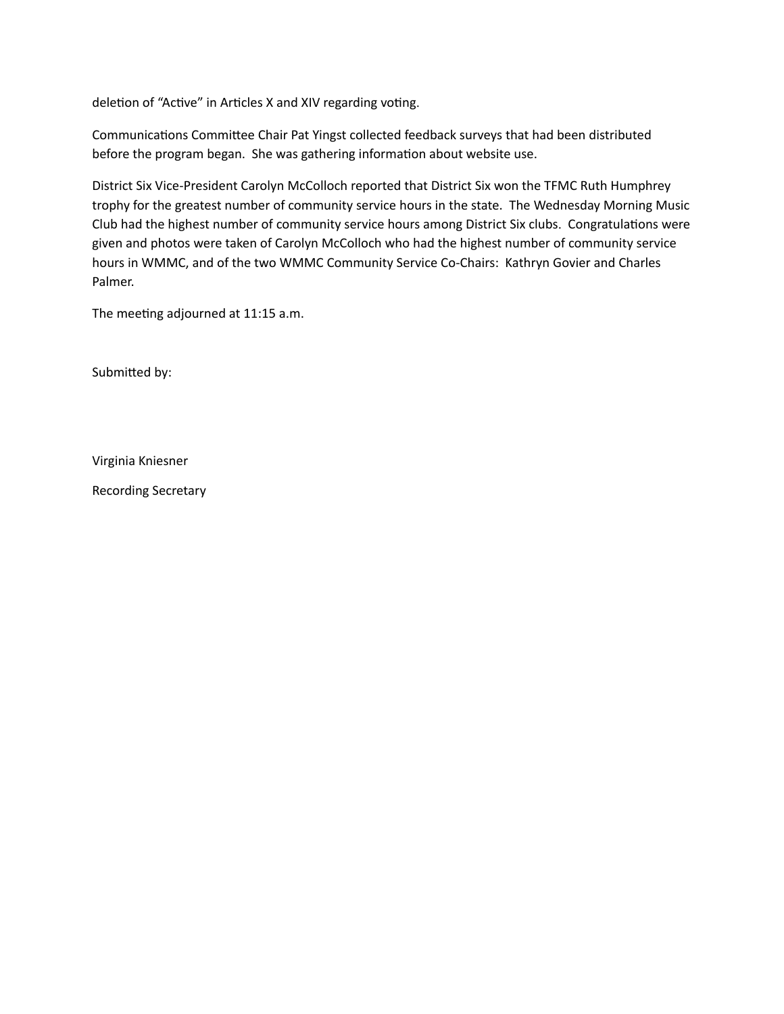deletion of "Active" in Articles X and XIV regarding voting.

Communications Committee Chair Pat Yingst collected feedback surveys that had been distributed before the program began. She was gathering information about website use.

District Six Vice-President Carolyn McColloch reported that District Six won the TFMC Ruth Humphrey trophy for the greatest number of community service hours in the state. The Wednesday Morning Music Club had the highest number of community service hours among District Six clubs. Congratulations were given and photos were taken of Carolyn McColloch who had the highest number of community service hours in WMMC, and of the two WMMC Community Service Co-Chairs: Kathryn Govier and Charles Palmer.

The meeting adjourned at 11:15 a.m.

Submitted by:

Virginia Kniesner

Recording Secretary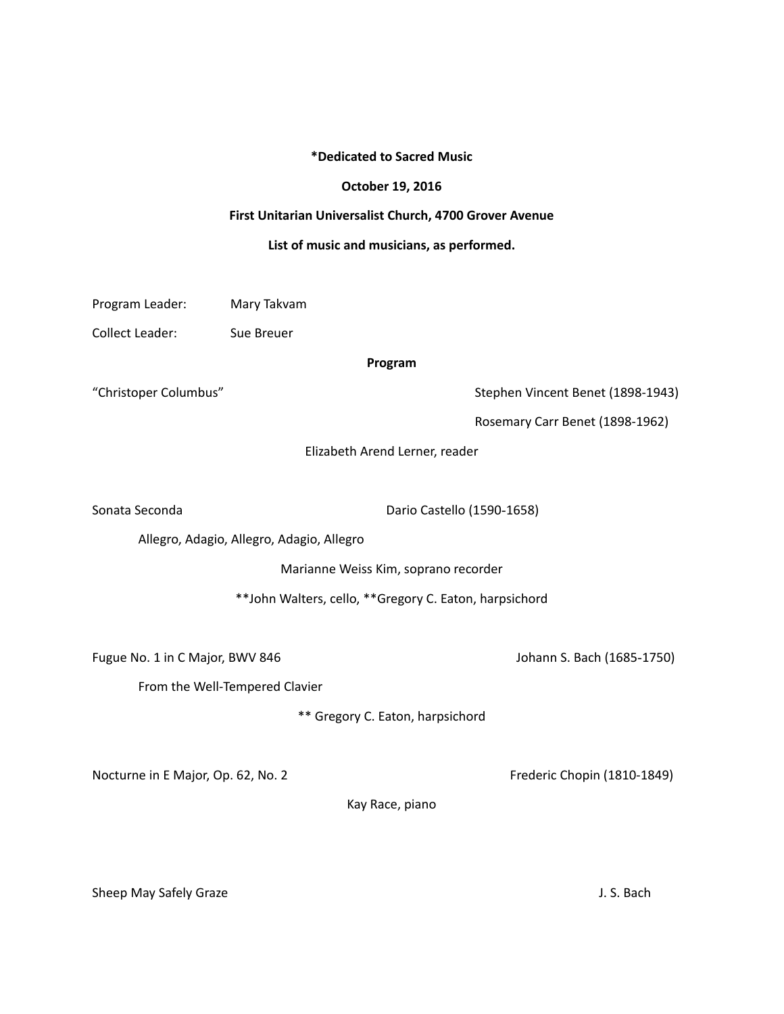### **\*Dedicated to Sacred Music**

#### **October 19, 2016**

## **First Unitarian Universalist Church, 4700 Grover Avenue**

#### List of music and musicians, as performed.

| Program Leader: | Mary Takvam |
|-----------------|-------------|
|                 |             |

Collect Leader: Sue Breuer

#### **Program**

"Christoper Columbus" and Columbus" Stephen Vincent Benet (1898-1943)

Rosemary Carr Benet (1898-1962)

Elizabeth Arend Lerner, reader

Sonata Seconda Dario Castello (1590-1658)

Allegro, Adagio, Allegro, Adagio, Allegro

Marianne Weiss Kim, soprano recorder

\*\*John Walters, cello, \*\*Gregory C. Eaton, harpsichord

Fugue No. 1 in C Major, BWV 846 Johann S. Bach (1685-1750)

From the Well-Tempered Clavier

\*\* Gregory C. Eaton, harpsichord

Nocturne in E Major, Op. 62, No. 2 **South Accord Exercise Chopin** (1810-1849)

Kay Race, piano

Sheep May Safely Graze **Sheep May Safely Graze** and the structure of the structure of the structure of the structure of the structure of the structure of the structure of the structure of the structure of the structure of